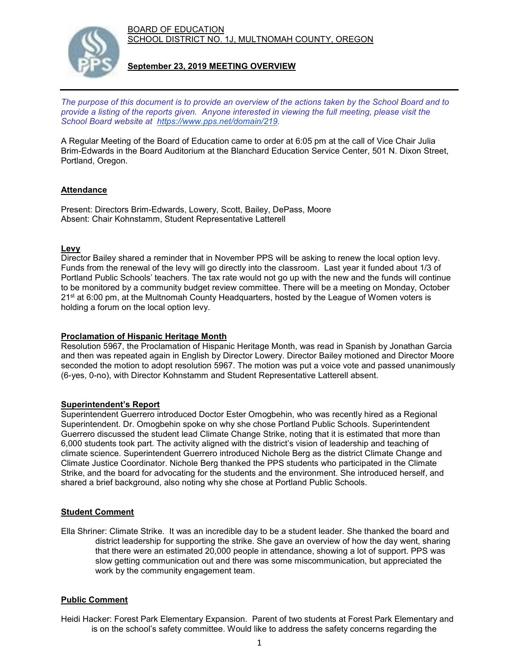BOARD OF EDUCATION SCHOOL DISTRICT NO. 1J, MULTNOMAH COUNTY, OREGON



**September 23, 2019 MEETING OVERVIEW**

*The purpose of this document is to provide an overview of the actions taken by the School Board and to provide a listing of the reports given. Anyone interested in viewing the full meeting, please visit the School Board website at [https://www.pps.net/domain/219.](https://www.pps.net/domain/219)*

A Regular Meeting of the Board of Education came to order at 6:05 pm at the call of Vice Chair Julia Brim-Edwards in the Board Auditorium at the Blanchard Education Service Center, 501 N. Dixon Street, Portland, Oregon.

## **Attendance**

Present: Directors Brim-Edwards, Lowery, Scott, Bailey, DePass, Moore Absent: Chair Kohnstamm, Student Representative Latterell

## **Levy**

Director Bailey shared a reminder that in November PPS will be asking to renew the local option levy. Funds from the renewal of the levy will go directly into the classroom. Last year it funded about 1/3 of Portland Public Schools' teachers. The tax rate would not go up with the new and the funds will continue to be monitored by a community budget review committee. There will be a meeting on Monday, October  $21<sup>st</sup>$  at 6:00 pm, at the Multnomah County Headquarters, hosted by the League of Women voters is holding a forum on the local option levy.

### **Proclamation of Hispanic Heritage Month**

Resolution 5967, the Proclamation of Hispanic Heritage Month, was read in Spanish by Jonathan Garcia and then was repeated again in English by Director Lowery. Director Bailey motioned and Director Moore seconded the motion to adopt resolution 5967. The motion was put a voice vote and passed unanimously (6-yes, 0-no), with Director Kohnstamm and Student Representative Latterell absent.

## **Superintendent's Report**

Superintendent Guerrero introduced Doctor Ester Omogbehin, who was recently hired as a Regional Superintendent. Dr. Omogbehin spoke on why she chose Portland Public Schools. Superintendent Guerrero discussed the student lead Climate Change Strike, noting that it is estimated that more than 6,000 students took part. The activity aligned with the district's vision of leadership and teaching of climate science. Superintendent Guerrero introduced Nichole Berg as the district Climate Change and Climate Justice Coordinator. Nichole Berg thanked the PPS students who participated in the Climate Strike, and the board for advocating for the students and the environment. She introduced herself, and shared a brief background, also noting why she chose at Portland Public Schools.

#### **Student Comment**

Ella Shriner: Climate Strike. It was an incredible day to be a student leader. She thanked the board and district leadership for supporting the strike. She gave an overview of how the day went, sharing that there were an estimated 20,000 people in attendance, showing a lot of support. PPS was slow getting communication out and there was some miscommunication, but appreciated the work by the community engagement team.

## **Public Comment**

Heidi Hacker: Forest Park Elementary Expansion. Parent of two students at Forest Park Elementary and is on the school's safety committee. Would like to address the safety concerns regarding the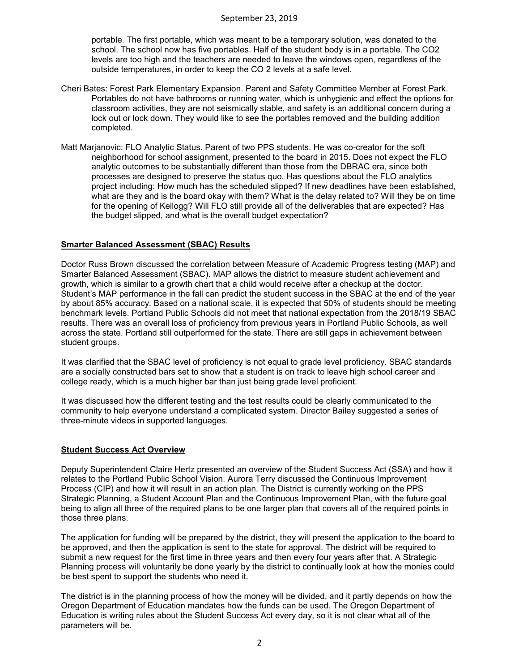#### September 23, 2019

portable. The first portable, which was meant to be a temporary solution, was donated to the school. The school now has five portables. Half of the student body is in a portable. The CO2 levels are too high and the teachers are needed to leave the windows open, regardless of the outside temperatures, in order to keep the CO 2 levels at a safe level.

- Cheri Bates: Forest Park Elementary Expansion. Parent and Safety Committee Member at Forest Park. Portables do not have bathrooms or running water, which is unhygienic and effect the options for classroom activities, they are not seismically stable, and safety is an additional concern during a lock out or lock down. They would like to see the portables removed and the building addition completed.
- Matt Marjanovic: FLO Analytic Status. Parent of two PPS students. He was co-creator for the soft neighborhood for school assignment, presented to the board in 2015. Does not expect the FLO analytic outcomes to be substantially different than those from the DBRAC era, since both processes are designed to preserve the status quo. Has questions about the FLO analytics project including: How much has the scheduled slipped? If new deadlines have been established, what are they and is the board okay with them? What is the delay related to? Will they be on time for the opening of Kellogg? Will FLO still provide all of the deliverables that are expected? Has the budget slipped, and what is the overall budget expectation?

### **Smarter Balanced Assessment (SBAC) Results**

Doctor Russ Brown discussed the correlation between Measure of Academic Progress testing (MAP) and Smarter Balanced Assessment (SBAC). MAP allows the district to measure student achievement and growth, which is similar to a growth chart that a child would receive after a checkup at the doctor. Student's MAP performance in the fall can predict the student success in the SBAC at the end of the year by about 85% accuracy. Based on a national scale, it is expected that 50% of students should be meeting benchmark levels. Portland Public Schools did not meet that national expectation from the 2018/19 SBAC results. There was an overall loss of proficiency from previous years in Portland Public Schools, as well across the state. Portland still outperformed for the state. There are still gaps in achievement between student groups.

It was clarified that the SBAC level of proficiency is not equal to grade level proficiency. SBAC standards are a socially constructed bars set to show that a student is on track to leave high school career and college ready, which is a much higher bar than just being grade level proficient.

It was discussed how the different testing and the test results could be clearly communicated to the community to help everyone understand a complicated system. Director Bailey suggested a series of three-minute videos in supported languages.

#### **Student Success Act Overview**

Deputy Superintendent Claire Hertz presented an overview of the Student Success Act (SSA) and how it relates to the Portland Public School Vision. Aurora Terry discussed the Continuous Improvement Process (CIP) and how it will result in an action plan. The District is currently working on the PPS Strategic Planning, a Student Account Plan and the Continuous Improvement Plan, with the future goal being to align all three of the required plans to be one larger plan that covers all of the required points in those three plans.

The application for funding will be prepared by the district, they will present the application to the board to be approved, and then the application is sent to the state for approval. The district will be required to submit a new request for the first time in three years and then every four years after that. A Strategic Planning process will voluntarily be done yearly by the district to continually look at how the monies could be best spent to support the students who need it.

The district is in the planning process of how the money will be divided, and it partly depends on how the Oregon Department of Education mandates how the funds can be used. The Oregon Department of Education is writing rules about the Student Success Act every day, so it is not clear what all of the parameters will be.